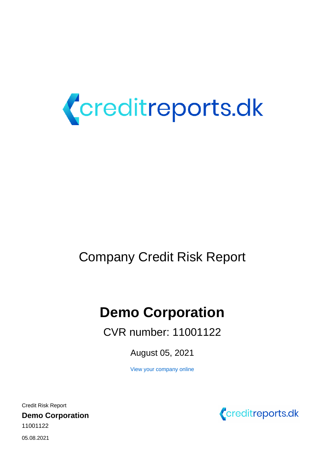

# Company Credit Risk Report

# **Demo Corporation**

CVR number: 11001122

August 05, 2021

[View your company online](https://creditanalysis.valuatum.com
/CompanyViews.action?page=overview&fid=134094&compareFid=0&percentageComparison=false)

11001122 Credit Risk Report **Demo Corporation**



05.08.2021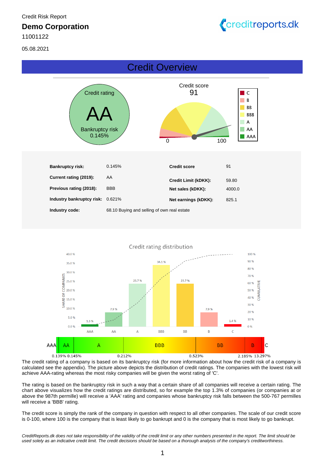11001122

05.08.2021



# Credit Overview





The credit rating of a company is based on its bankruptcy risk (for more information about how the credit risk of a company is calculated see the appendix). The picture above depicts the distribution of credit ratings. The companies with the lowest risk will achieve AAA-rating whereas the most risky companies will be given the worst rating of 'C'.

The rating is based on the bankruptcy risk in such a way that a certain share of all companies will receive a certain rating. The chart above visualizes how the credit ratings are distributed, so for example the top 1.3% of companies (or companies at or above the 987th permille) will receive a 'AAA' rating and companies whose bankruptcy risk falls between the 500-767 permilles will receive a 'BBB' rating.

The credit score is simply the rank of the company in question with respect to all other companies. The scale of our credit score is 0-100, where 100 is the company that is least likely to go bankrupt and 0 is the company that is most likely to go bankrupt.

CreditReports.dk does not take responsibility of the validity of the credit limit or any other numbers presented in the report. The limit should be used solely as an indicative credit limit. The credit decisions should be based on a thorough analysis of the company's creditworthiness.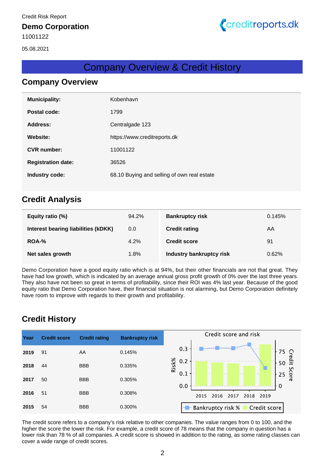

# Company Overview & Credit History

### **Company Overview**

| <b>Municipality:</b>      | Kobenhavn                                   |
|---------------------------|---------------------------------------------|
| Postal code:              | 1799                                        |
| Address:                  | Centralgade 123                             |
| Website:                  | https://www.creditreports.dk                |
| <b>CVR</b> number:        | 11001122                                    |
| <b>Registration date:</b> | 36526                                       |
| Industry code:            | 68.10 Buying and selling of own real estate |
|                           |                                             |

### **Credit Analysis**

| Equity ratio (%)                    | 94.2% | <b>Bankruptcy risk</b>          | 0.145% |
|-------------------------------------|-------|---------------------------------|--------|
| Interest bearing liabilities (kDKK) | 0.0   | <b>Credit rating</b>            | AA     |
| ROA-%                               | 4.2%  | <b>Credit score</b>             | 91     |
| Net sales growth                    | 1.8%  | <b>Industry bankruptcy risk</b> | 0.62%  |

Demo Corporation have a good equity ratio which is at 94%, but their other financials are not that great. They have had low growth, which is indicated by an average annual gross profit growth of 0% over the last three years. They also have not been so great in terms of profitability, since their ROI was 4% last year. Because of the good equity ratio that Demo Corporation have, their financial situation is not alarming, but Demo Corporation definitely have room to improve with regards to their growth and profitability.

# **Credit History**

| Year | <b>Credit score</b> | <b>Credit rating</b> | <b>Bankruptcy risk</b> | Credit score and risk                       |
|------|---------------------|----------------------|------------------------|---------------------------------------------|
|      |                     |                      |                        |                                             |
| 2019 | 91                  | AA                   | 0.145%                 | 0.3                                         |
|      |                     |                      |                        | $75 \frac{1}{2}$<br>50 $\frac{1}{2}$<br>0.2 |
| 2018 | 44                  | <b>BBB</b>           | 0.335%                 | Risk%                                       |
|      |                     |                      |                        | Score<br>0.1<br>25                          |
| 2017 | 50                  | <b>BBB</b>           | 0.305%                 | 0.0<br>$\Omega$                             |
| 2016 | 51                  | <b>BBB</b>           | 0.308%                 |                                             |
|      |                     |                      |                        | 2015<br>2016<br>2017<br>2018<br>2019        |
| 2015 | 54                  | <b>BBB</b>           | 0.300%                 | Bankruptcy risk %<br>Credit score<br>HH.    |
|      |                     |                      |                        |                                             |

The credit score refers to a company's risk relative to other companies. The value ranges from 0 to 100, and the higher the score the lower the risk. For example, a credit score of 78 means that the company in question has a lower risk than 78 % of all companies. A credit score is showed in addition to the rating, as some rating classes can cover a wide range of credit scores.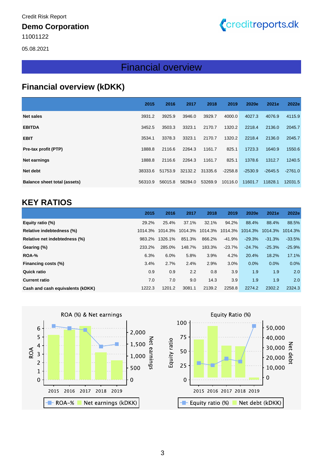### **Demo Corporation**

11001122

05.08.2021

#### **Financial overview (kDKK)** Financial overview

Creditreports.dk

# **Financial overview (kDKK)**

|                              | 2015    | 2016    | 2017    | 2018    | 2019      | 2020e     | 2021e     | 2022e     |
|------------------------------|---------|---------|---------|---------|-----------|-----------|-----------|-----------|
| <b>Net sales</b>             | 3931.2  | 3925.9  | 3946.0  | 3929.7  | 4000.0    | 4027.3    | 4076.9    | 4115.9    |
| <b>EBITDA</b>                | 3452.5  | 3503.3  | 3323.1  | 2170.7  | 1320.2    | 2218.4    | 2136.0    | 2045.7    |
| <b>EBIT</b>                  | 3534.1  | 3378.3  | 3323.1  | 2170.7  | 1320.2    | 2218.4    | 2136.0    | 2045.7    |
| Pre-tax profit (PTP)         | 1888.8  | 2116.6  | 2264.3  | 1161.7  | 825.1     | 1723.3    | 1640.9    | 1550.6    |
| <b>Net earnings</b>          | 1888.8  | 2116.6  | 2264.3  | 1161.7  | 825.1     | 1378.6    | 1312.7    | 1240.5    |
| Net debt                     | 38333.6 | 51753.9 | 32132.2 | 31335.6 | $-2258.8$ | $-2530.9$ | $-2645.5$ | $-2761.0$ |
| Balance sheet total (assets) | 56310.9 | 56015.8 | 58284.0 | 53269.9 | 10116.0   | 11601.7   | 11828.1   | 12031.5   |

# **KEY RATIOS**

|                                  | 2015    | 2016    | 2017    | 2018    | 2019     | 2020e    | 2021e    | 2022e    |
|----------------------------------|---------|---------|---------|---------|----------|----------|----------|----------|
| Equity ratio (%)                 | 29.2%   | 25.4%   | 37.1%   | 32.1%   | 94.2%    | 88.4%    | 88.4%    | 88.5%    |
| Relative indebtedness (%)        | 1014.3% | 1014.3% | 1014.3% | 1014.3% | 1014.3%  | 1014.3%  | 1014.3%  | 1014.3%  |
| Relative net indebtedness (%)    | 983.2%  | 1326.1% | 851.3%  | 866.2%  | $-41.9%$ | $-29.3%$ | $-31.3%$ | $-33.5%$ |
| Gearing (%)                      | 233.2%  | 285.0%  | 148.7%  | 183.3%  | $-23.7%$ | $-24.7%$ | $-25.3%$ | $-25.9%$ |
| ROA-%                            | 6.3%    | 6.0%    | 5.8%    | 3.9%    | 4.2%     | 20.4%    | 18.2%    | 17.1%    |
| Financing costs (%)              | 3.4%    | 2.7%    | 2.4%    | 2.9%    | 3.0%     | 0.0%     | 0.0%     | 0.0%     |
| <b>Quick ratio</b>               | 0.9     | 0.9     | 2.2     | 0.8     | 3.9      | 1.9      | 1.9      | 2.0      |
| <b>Current ratio</b>             | 7.0     | 7.0     | 9.0     | 14.3    | 3.9      | 1.9      | 1.9      | 2.0      |
| Cash and cash equivalents (kDKK) | 1222.3  | 1201.2  | 3081.1  | 2139.2  | 2258.8   | 2274.2   | 2302.2   | 2324.3   |

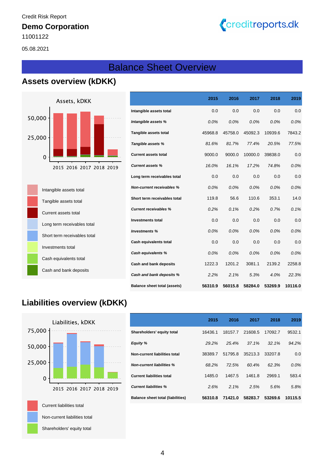### **Demo Corporation**

11001122

05.08.2021

# Balance Sheet Overview

# **Assets overview (kDKK)**



| Intangible assets total      |
|------------------------------|
| Tangible assets total        |
| Current assets total         |
| Long term receivables total  |
| Short term receivables total |
| Investments total            |
| Cash equivalents total       |
| Cash and bank deposits       |

|                                     | 2015    | 2016    | 2017    | 2018    | 2019    |
|-------------------------------------|---------|---------|---------|---------|---------|
| Intangible assets total             | 0.0     | 0.0     | 0.0     | 0.0     | 0.0     |
| Intangible assets %                 | 0.0%    | 0.0%    | 0.0%    | 0.0%    | 0.0%    |
| Tangible assets total               | 45968.8 | 45758.0 | 45092.3 | 10939.6 | 7843.2  |
| Tangible assets %                   | 81.6%   | 81.7%   | 77.4%   | 20.5%   | 77.5%   |
| <b>Current assets total</b>         | 9000.0  | 9000.0  | 10000.0 | 39838.0 | 0.0     |
| <b>Current assets %</b>             | 16.0%   | 16.1%   | 17.2%   | 74.8%   | 0.0%    |
| Long term receivables total         | 0.0     | 0.0     | 0.0     | 0.0     | 0.0     |
| <b>Non-current receivables %</b>    | 0.0%    | 0.0%    | 0.0%    | 0.0%    | 0.0%    |
| Short term receivables total        | 119.8   | 56.6    | 110.6   | 353.1   | 14.0    |
| <b>Current receivables %</b>        | 0.2%    | 0.1%    | 0.2%    | 0.7%    | 0.1%    |
| <b>Investments total</b>            | 0.0     | 0.0     | 0.0     | 0.0     | 0.0     |
| <b>Investments %</b>                | 0.0%    | 0.0%    | 0.0%    | 0.0%    | 0.0%    |
| Cash equivalents total              | 0.0     | 0.0     | 0.0     | 0.0     | 0.0     |
| <b>Cash equivalents %</b>           | 0.0%    | 0.0%    | 0.0%    | 0.0%    | 0.0%    |
| Cash and bank deposits              | 1222.3  | 1201.2  | 3081.1  | 2139.2  | 2258.8  |
| Cash and bank deposits %            | 2.2%    | 2.1%    | 5.3%    | 4.0%    | 22.3%   |
| <b>Balance sheet total (assets)</b> | 56310.9 | 56015.8 | 58284.0 | 53269.9 | 10116.0 |

Creditreports.dk

# **Liabilities overview (kDKK)**



|                                          | 2015    | 2016    | 2017    | 2018    | 2019    |
|------------------------------------------|---------|---------|---------|---------|---------|
| Shareholders' equity total               | 16436.1 | 18157.7 | 21608.5 | 17092.7 | 9532.1  |
| <b>Equity %</b>                          | 29.2%   | 25.4%   | 37.1%   | 32.1%   | 94.2%   |
| Non-current liabilities total            | 38389.7 | 51795.8 | 35213.3 | 33207.8 | 0.0     |
| <b>Non-current liabilities %</b>         | 68.2%   | 72.5%   | 60.4%   | 62.3%   | $0.0\%$ |
| <b>Current liabilities total</b>         | 1485.0  | 1467.5  | 1461.8  | 2969.1  | 583.4   |
| <b>Current liabilities %</b>             | 2.6%    | 2.1%    | 2.5%    | 5.6%    | 5.8%    |
| <b>Balance sheet total (liabilities)</b> | 56310.8 | 71421.0 | 58283.7 | 53269.6 | 10115.5 |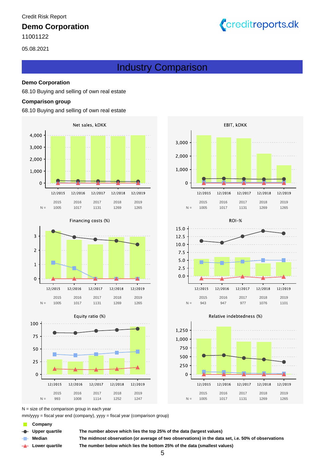### **Demo Corporation**

11001122

05.08.2021

# Industry Comparison

#### **Demo Corporation**

68.10 Buying and selling of own real estate

#### **Comparison group**

#### 68.10 Buying and selling of own real estate





105 - 1017 - 1131 - 1269 - 120

1005 1017 1131 1269 1265







Creditreports.dk







#### Relative indebtedness (%)

 $\text{mm/}$ yyyy = fiscal year end (company), yyyy = fiscal year (comparison group)

- **Company**
- 
- 
- **Lower quartile**

**Median The midmost observation (or average of two observations) in the data set, i.e. 50% of observations Upper quartile The number above which lies the top 25% of the data (largest values)**

**The number below which lies the bottom 25% of the data (smallest values)**

 $N =$  size of the comparison group in each year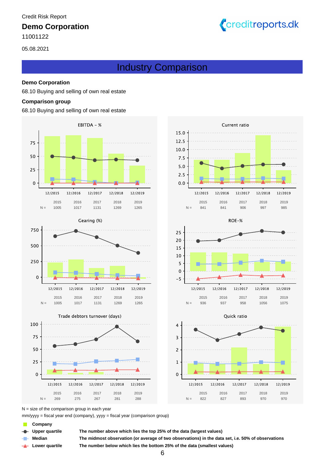### **Demo Corporation**

05.08.2021



# Industry Comparison

#### **Demo Corporation**

68.10 Buying and selling of own real estate

#### **Comparison group**

68.10 Buying and selling of own real estate





Trade debtors turnover (days)













 $N =$  size of the comparison group in each year

 $\text{mm/}$ yyyy = fiscal year end (company), yyyy = fiscal year (comparison group)

- **Company**
- 

**Lower quartile**

**Upper quartile The number above which lies the top 25% of the data (largest values)**

**Median The midmost observation (or average of two observations) in the data set, i.e. 50% of observations The number below which lies the bottom 25% of the data (smallest values)**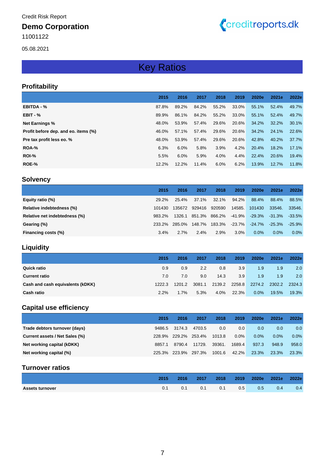### **Demo Corporation**

11001122

05.08.2021

# Creditreports.dk

# Key Ratios

#### **Profitability**

|                                      | 2015  | 2016  | 2017  | 2018  | 2019     | 2020e | 2021e | 2022e |
|--------------------------------------|-------|-------|-------|-------|----------|-------|-------|-------|
| <b>EBITDA - %</b>                    | 87.8% | 89.2% | 84.2% | 55.2% | $33.0\%$ | 55.1% | 52.4% | 49.7% |
| $EBIT - %$                           | 89.9% | 86.1% | 84.2% | 55.2% | 33.0%    | 55.1% | 52.4% | 49.7% |
| <b>Net Earnings %</b>                | 48.0% | 53.9% | 57.4% | 29.6% | 20.6%    | 34.2% | 32.2% | 30.1% |
| Profit before dep. and eo. items (%) | 46.0% | 57.1% | 57.4% | 29.6% | 20.6%    | 34.2% | 24.1% | 22.6% |
| Pre tax profit less eo. %            | 48.0% | 53.9% | 57.4% | 29.6% | 20.6%    | 42.8% | 40.2% | 37.7% |
| ROA-%                                | 6.3%  | 6.0%  | 5.8%  | 3.9%  | 4.2%     | 20.4% | 18.2% | 17.1% |
| ROI-%                                | 5.5%  | 6.0%  | 5.9%  | 4.0%  | 4.4%     | 22.4% | 20.6% | 19.4% |
| ROE-%                                | 12.2% | 12.2% | 11.4% | 6.0%  | 6.2%     | 13.9% | 12.7% | 11.8% |

### **Solvency**

|                               | 2015   | 2016   | 2017   | 2018   | 2019      | 2020e     | 2021e     | 2022e     |
|-------------------------------|--------|--------|--------|--------|-----------|-----------|-----------|-----------|
| Equity ratio (%)              | 29.2%  | 25.4%  | 37.1%  | 32.1%  | $94.2\%$  | 88.4%     | 88.4%     | 88.5%     |
| Relative indebtedness (%)     | 101430 | 135672 | 929416 | 920590 | 14585.    | 101430    | 33546.    | 33546.    |
| Relative net indebtedness (%) | 983.2% | 1326.1 | 851.3% | 866.2% | $-41.9\%$ | -29.3%    | $-31.3\%$ | $-33.5\%$ |
| Gearing (%)                   | 233.2% | 285.0% | 148.7% | 183.3% | $-23.7\%$ | $-24.7\%$ | $-25.3\%$ | $-25.9\%$ |
| Financing costs (%)           | 3.4%   | 2.7%   | 2.4%   | 2.9%   | $3.0\%$   | $0.0\%$   | $0.0\%$   | $0.0\%$   |

### **Liquidity**

|                                  | 2015   | 2016   | 2017          | 2018   | 2019   | 2020e   | 2021e  | 2022e  |
|----------------------------------|--------|--------|---------------|--------|--------|---------|--------|--------|
| <b>Quick ratio</b>               | 0.9    | 0.9    | $2.2^{\circ}$ | 0.8    | 3.9    | 1.9     | 1.9    | 2.0    |
| <b>Current ratio</b>             | 7.0    | 7.0    | 9.0           | 14.3   | 3.9    | 1.9     | 1.9    | 2.0    |
| Cash and cash equivalents (kDKK) | 1222.3 | 1201.2 | 3081.1        | 2139.2 | 2258.8 | 2274.2  | 2302.2 | 2324.3 |
| <b>Cash ratio</b>                | 2.2%   | 1.7%   | 5.3%          | 4.0%   | 22.3%  | $0.0\%$ | 19.5%  | 19.3%  |

### **Capital use efficiency**

|                                | 2015   | 2016   | 2017   | 2018   | 2019    | 2020e   | 2021e   | 2022e            |
|--------------------------------|--------|--------|--------|--------|---------|---------|---------|------------------|
| Trade debtors turnover (days)  | 9486.5 | 3174.3 | 4703.5 | 0.0    | 0.0     | 0.0     | 0.0     | 0.0 <sub>1</sub> |
| Current assets / Net Sales (%) | 228.9% | 229.2% | 253.4% | 1013.8 | $0.0\%$ | $0.0\%$ | $0.0\%$ | $0.0\%$          |
| Net working capital (kDKK)     | 8857.1 | 8790.4 | 11729. | 39361. | 1689.4  | 937.3   | 948.9   | 958.0            |
| Net working capital (%)        | 225.3% | 223.9% | 297.3% | 1001.6 | 42.2%   | 23.3%   | 23.3%   | 23.3%            |

#### **Turnover ratios**

|                        | 2015 | 2016 | 2017 | 2018 | 2019 | 2020e 2021e   |     | 2022e         |
|------------------------|------|------|------|------|------|---------------|-----|---------------|
| <b>Assets turnover</b> |      |      | 0.1  | 0.1  | 0.5  | $0.5^{\circ}$ | 0.4 | $0.4^{\circ}$ |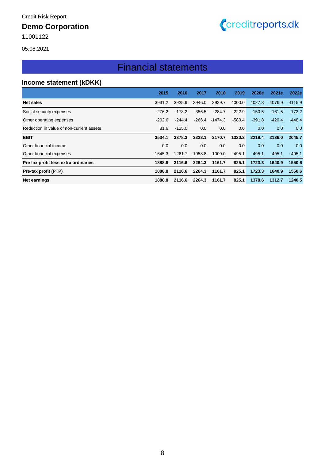# **Demo Corporation**

11001122



# Creditreports.dk

# Financial statements

### **Income statement (kDKK)**

|                                          | 2015      | 2016      | 2017     | 2018      | 2019     | 2020e    | 2021e    | 2022e    |
|------------------------------------------|-----------|-----------|----------|-----------|----------|----------|----------|----------|
| Net sales                                | 3931.2    | 3925.9    | 3946.0   | 3929.7    | 4000.0   | 4027.3   | 4076.9   | 4115.9   |
| Social security expenses                 | $-276.2$  | $-178.2$  | $-356.5$ | $-284.7$  | $-222.9$ | $-150.5$ | $-161.5$ | $-172.2$ |
| Other operating expenses                 | $-202.6$  | $-244.4$  | -266.4   | -1474.3   | $-580.4$ | $-391.8$ | $-420.4$ | $-448.4$ |
| Reduction in value of non-current assets | 81.6      | $-125.0$  | 0.0      | 0.0       | 0.0      | 0.0      | 0.0      | 0.0      |
| <b>EBIT</b>                              | 3534.1    | 3378.3    | 3323.1   | 2170.7    | 1320.2   | 2218.4   | 2136.0   | 2045.7   |
| Other financial income                   | 0.0       | 0.0       | 0.0      | 0.0       | 0.0      | 0.0      | 0.0      | 0.0      |
| Other financial expenses                 | $-1645.3$ | $-1261.7$ | -1058.8  | $-1009.0$ | -495.1   | $-495.1$ | $-495.1$ | $-495.1$ |
| Pre tax profit less extra ordinaries     | 1888.8    | 2116.6    | 2264.3   | 1161.7    | 825.1    | 1723.3   | 1640.9   | 1550.6   |
| Pre-tax profit (PTP)                     | 1888.8    | 2116.6    | 2264.3   | 1161.7    | 825.1    | 1723.3   | 1640.9   | 1550.6   |
| Net earnings                             | 1888.8    | 2116.6    | 2264.3   | 1161.7    | 825.1    | 1378.6   | 1312.7   | 1240.5   |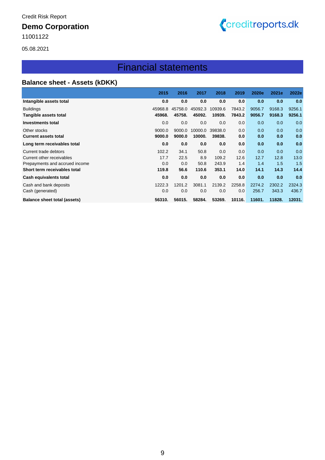### **Demo Corporation**

11001122



05.08.2021

# Financial statements

### **Balance sheet - Assets (kDKK)**

|                                | 2015    | 2016    | 2017    | 2018    | 2019   | 2020e  | 2021e  | 2022e  |
|--------------------------------|---------|---------|---------|---------|--------|--------|--------|--------|
| Intangible assets total        | 0.0     | 0.0     | 0.0     | 0.0     | 0.0    | 0.0    | 0.0    | 0.0    |
| <b>Buildings</b>               | 45968.8 | 45758.0 | 45092.3 | 10939.6 | 7843.2 | 9056.7 | 9168.3 | 9256.1 |
| Tangible assets total          | 45968.  | 45758.  | 45092.  | 10939.  | 7843.2 | 9056.7 | 9168.3 | 9256.1 |
| <b>Investments total</b>       | 0.0     | 0.0     | 0.0     | 0.0     | 0.0    | 0.0    | 0.0    | 0.0    |
| Other stocks                   | 9000.0  | 9000.0  | 10000.0 | 39838.0 | 0.0    | 0.0    | 0.0    | 0.0    |
| <b>Current assets total</b>    | 9000.0  | 9000.0  | 10000.  | 39838.  | 0.0    | 0.0    | 0.0    | 0.0    |
| Long term receivables total    | 0.0     | 0.0     | 0.0     | 0.0     | 0.0    | 0.0    | 0.0    | 0.0    |
| Current trade debtors          | 102.2   | 34.1    | 50.8    | 0.0     | 0.0    | 0.0    | 0.0    | 0.0    |
| Current other receivables      | 17.7    | 22.5    | 8.9     | 109.2   | 12.6   | 12.7   | 12.8   | 13.0   |
| Prepayments and accrued income | 0.0     | 0.0     | 50.8    | 243.9   | 1.4    | 1.4    | 1.5    | 1.5    |
| Short term receivables total   | 119.8   | 56.6    | 110.6   | 353.1   | 14.0   | 14.1   | 14.3   | 14.4   |
| Cash equivalents total         | 0.0     | 0.0     | 0.0     | 0.0     | 0.0    | 0.0    | 0.0    | 0.0    |
| Cash and bank deposits         | 1222.3  | 1201.2  | 3081.1  | 2139.2  | 2258.8 | 2274.2 | 2302.2 | 2324.3 |
| Cash (generated)               | 0.0     | 0.0     | 0.0     | 0.0     | 0.0    | 256.7  | 343.3  | 436.7  |
| Balance sheet total (assets)   | 56310.  | 56015.  | 58284.  | 53269.  | 10116. | 11601. | 11828. | 12031. |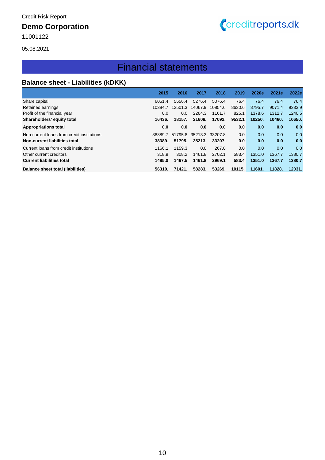### **Demo Corporation**

11001122



05.08.2021

# Financial statements

### **Balance sheet - Liabilities (kDKK)**

|                                            | 2015    | 2016    | 2017    | 2018    | 2019   | 2020e  | 2021e  | 2022e  |
|--------------------------------------------|---------|---------|---------|---------|--------|--------|--------|--------|
| Share capital                              | 6051.4  | 5656.4  | 5276.4  | 5076.4  | 76.4   | 76.4   | 76.4   | 76.4   |
| Retained earnings                          | 10384.7 | 12501.3 | 14067.9 | 10854.6 | 8630.6 | 8795.7 | 9071.4 | 9333.9 |
| Profit of the financial year               | 0.0     | 0.0     | 2264.3  | 1161.7  | 825.1  | 1378.6 | 1312.7 | 1240.5 |
| Shareholders' equity total                 | 16436.  | 18157.  | 21608.  | 17092.  | 9532.1 | 10250. | 10460. | 10650. |
| <b>Appropriations total</b>                | 0.0     | 0.0     | 0.0     | 0.0     | 0.0    | 0.0    | 0.0    | 0.0    |
| Non-current loans from credit institutions | 38389.7 | 51795.8 | 35213.3 | 33207.8 | 0.0    | 0.0    | 0.0    | 0.0    |
| Non-current liabilities total              | 38389.  | 51795.  | 35213.  | 33207.  | 0.0    | 0.0    | 0.0    | 0.0    |
| Current loans from credit institutions     | 1166.1  | 1159.3  | 0.0     | 267.0   | 0.0    | 0.0    | 0.0    | 0.0    |
| Other current creditors                    | 318.9   | 308.2   | 1461.8  | 2702.1  | 583.4  | 1351.0 | 1367.7 | 1380.7 |
| <b>Current liabilities total</b>           | 1485.0  | 1467.5  | 1461.8  | 2969.1  | 583.4  | 1351.0 | 1367.7 | 1380.7 |
| <b>Balance sheet total (liabilities)</b>   | 56310.  | 71421.  | 58283.  | 53269.  | 10115. | 11601. | 11828. | 12031. |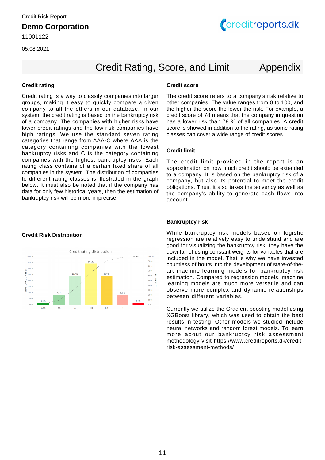

# Credit Rating, Score, and Limit Appendix

#### **Credit rating Credit score**

Credit rating is a way to classify companies into larger groups, making it easy to quickly compare a given company to all the others in our database. In our system, the credit rating is based on the bankruptcy risk of a company. The companies with higher risks have lower credit ratings and the low-risk companies have high ratings. We use the standard seven rating categories that range from AAA-C where AAA is the category containing companies with the lowest bankruptcy risks and C is the category containing companies with the highest bankruptcy risks. Each rating class contains of a certain fixed share of all companies in the system. The distribution of companies to different rating classes is illustrated in the graph below. It must also be noted that if the company has data for only few historical years, then the estimation of bankruptcy risk will be more imprecise.

#### **Credit Risk Distribution**



The credit score refers to a company's risk relative to other companies. The value ranges from 0 to 100, and the higher the score the lower the risk. For example, a credit score of 78 means that the company in question has a lower risk than 78 % of all companies. A credit score is showed in addition to the rating, as some rating classes can cover a wide range of credit scores.

#### **Credit limit**

The credit limit provided in the report is an approximation on how much credit should be extended to a company. It is based on the bankruptcy risk of a company, but also its potential to meet the credit obligations. Thus, it also takes the solvency as well as the company's ability to generate cash flows into account.

#### **Bankruptcy risk**

While bankruptcy risk models based on logistic regression are relatively easy to understand and are good for visualizing the bankruptcy risk, they have the downfall of using constant weights for variables that are included in the model. That is why we have invested countless of hours into the development of state-of-theart machine-learning models for bankruptcy risk estimation. Compared to regression models, machine learning models are much more versatile and can observe more complex and dynamic relationships between different variables.

Currently we utilize the Gradient boosting model using XGBoost library, which was used to obtain the best results in testing. Other models we studied include neural networks and random forest models. To learn more about our bankruptcy risk assessment methodology visit https://www.creditreports.dk/creditrisk-assessment-methods/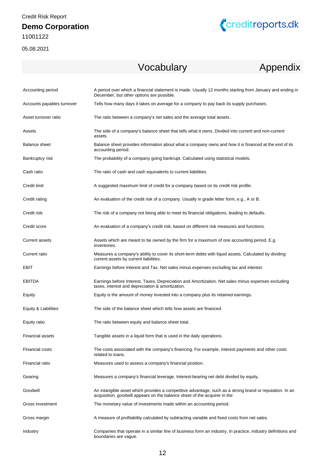05.08.2021



# Vocabulary Appendix

| Accounting period          | A period over which a financial statement is made. Usually 12 months starting from January and ending in<br>December, but other options are possible.                                |
|----------------------------|--------------------------------------------------------------------------------------------------------------------------------------------------------------------------------------|
| Accounts payables turnover | Tells how many days it takes on average for a company to pay back its supply purchases.                                                                                              |
| Asset turnover ratio       | The ratio between a company's net sales and the average total assets.                                                                                                                |
| Assets                     | The side of a company's balance sheet that tells what it owns. Divided into current and non-current<br>assets.                                                                       |
| Balance sheet              | Balance sheet provides information about what a company owns and how it is financed at the end of its<br>accounting period.                                                          |
| Bankruptcy risk            | The probability of a company going bankrupt. Calculated using statistical models.                                                                                                    |
| Cash ratio                 | The ratio of cash and cash equivalents to current liabilities.                                                                                                                       |
| Credit limit               | A suggested maximum limit of credit for a company based on its credit risk profile.                                                                                                  |
| Credit rating              | An evaluation of the credit risk of a company. Usually in grade letter form, e.g., A or B.                                                                                           |
| Credit risk                | The risk of a company not being able to meet its financial obligations, leading to defaults.                                                                                         |
| Credit score               | An evaluation of a company's credit risk, based on different risk measures and functions.                                                                                            |
| <b>Current assets</b>      | Assets which are meant to be owned by the firm for a maximum of one accounting period. E.g.<br>inventories.                                                                          |
| Current ratio              | Measures a company's ability to cover its short-term debts with liquid assets. Calculated by dividing<br>current assets by current liabilities.                                      |
| EBIT                       | Earnings before Interest and Tax. Net sales minus expenses excluding tax and interest.                                                                                               |
| <b>EBITDA</b>              | Earnings before Interest, Taxes, Depreciation and Amortization. Net sales minus expenses excluding<br>taxes, interest and depreciation & amortization.                               |
| Equity                     | Equity is the amount of money invested into a company plus its retained earnings.                                                                                                    |
| Equity & Liabilities       | The side of the balance sheet which tells how assets are financed.                                                                                                                   |
| Equity ratio               | The ratio between equity and balance sheet total.                                                                                                                                    |
| <b>Financial assets</b>    | Tangible assets in a liquid form that is used in the daily operations.                                                                                                               |
| <b>Financial costs</b>     | The costs associated with the company's financing. For example, interest payments and other costs<br>related to loans.                                                               |
| Financial ratio            | Measures used to assess a company's financial position.                                                                                                                              |
| Gearing                    | Measures a company's financial leverage. Interest-bearing net debt divided by equity.                                                                                                |
| Goodwill                   | An intangible asset which provides a competitive advantage, such as a strong brand or reputation. In an<br>acquisition, goodwill appears on the balance sheet of the acquirer in the |
| Gross investment           | The monetary value of investments made within an accounting period.                                                                                                                  |
| Gross margin               | A measure of profitability calculated by subtracting variable and fixed costs from net sales.                                                                                        |
| Industry                   | Companies that operate in a similar line of business form an industry. In practice, industry definitions and<br>boundaries are vague.                                                |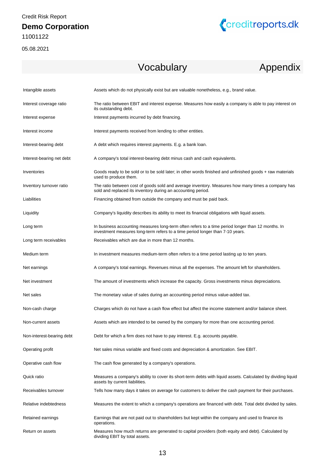



# Vocabulary Appendix

| Intangible assets         | Assets which do not physically exist but are valuable nonetheless, e.g., brand value.                                                                                              |
|---------------------------|------------------------------------------------------------------------------------------------------------------------------------------------------------------------------------|
| Interest coverage ratio   | The ratio between EBIT and interest expense. Measures how easily a company is able to pay interest on<br>its outstanding debt.                                                     |
| Interest expense          | Interest payments incurred by debt financing.                                                                                                                                      |
| Interest income           | Interest payments received from lending to other entities.                                                                                                                         |
| Interest-bearing debt     | A debt which requires interest payments. E.g. a bank loan.                                                                                                                         |
| Interest-bearing net debt | A company's total interest-bearing debt minus cash and cash equivalents.                                                                                                           |
| Inventories               | Goods ready to be sold or to be sold later; in other words finished and unfinished goods + raw materials<br>used to produce them.                                                  |
| Inventory turnover ratio  | The ratio between cost of goods sold and average inventory. Measures how many times a company has<br>sold and replaced its inventory during an accounting period.                  |
| Liabilities               | Financing obtained from outside the company and must be paid back.                                                                                                                 |
| Liquidity                 | Company's liquidity describes its ability to meet its financial obligations with liquid assets.                                                                                    |
| Long term                 | In business accounting measures long-term often refers to a time period longer than 12 months. In<br>investment measures long-term refers to a time period longer than 7-10 years. |
| Long term receivables     | Receivables which are due in more than 12 months.                                                                                                                                  |
| Medium term               | In investment measures medium-term often refers to a time period lasting up to ten years.                                                                                          |
| Net earnings              | A company's total earnings. Revenues minus all the expenses. The amount left for shareholders.                                                                                     |
| Net investment            | The amount of investments which increase the capacity. Gross investments minus depreciations.                                                                                      |
| Net sales                 | The monetary value of sales during an accounting period minus value-added tax.                                                                                                     |
| Non-cash charge           | Charges which do not have a cash flow effect but affect the income statement and/or balance sheet.                                                                                 |
| Non-current assets        | Assets which are intended to be owned by the company for more than one accounting period.                                                                                          |
| Non-interest-bearing debt | Debt for which a firm does not have to pay interest. E.g. accounts payable.                                                                                                        |
| Operating profit          | Net sales minus variable and fixed costs and depreciation & amortization. See EBIT.                                                                                                |
| Operative cash flow       | The cash flow generated by a company's operations.                                                                                                                                 |
| Quick ratio               | Measures a company's ability to cover its short-term debts with liquid assets. Calculated by dividing liquid<br>assets by current liabilities.                                     |
| Receivables turnover      | Tells how many days it takes on average for customers to deliver the cash payment for their purchases.                                                                             |
| Relative indebtedness     | Measures the extent to which a company's operations are financed with debt. Total debt divided by sales.                                                                           |
| Retained earnings         | Earnings that are not paid out to shareholders but kept within the company and used to finance its<br>operations.                                                                  |
| Return on assets          | Measures how much returns are generated to capital providers (both equity and debt). Calculated by<br>dividing EBIT by total assets.                                               |